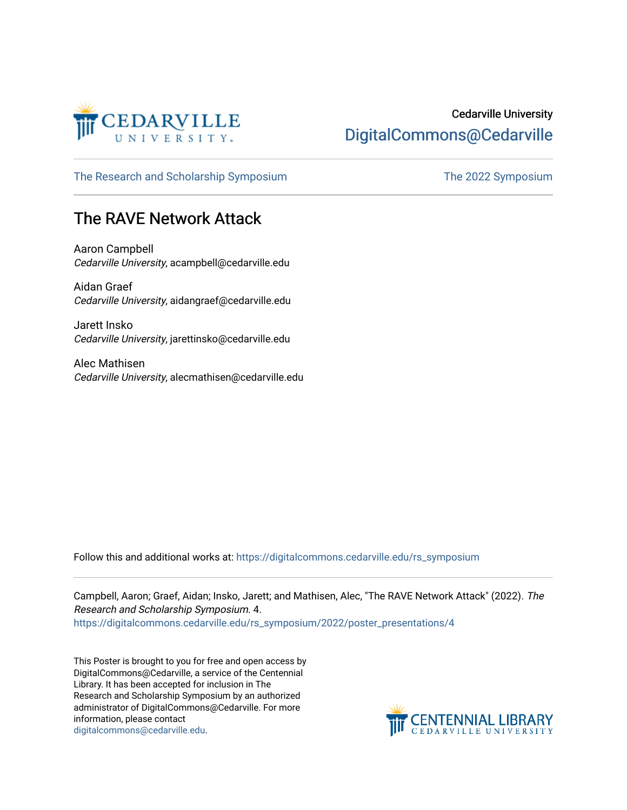

#### Cedarville University [DigitalCommons@Cedarville](https://digitalcommons.cedarville.edu/)

[The Research and Scholarship Symposium](https://digitalcommons.cedarville.edu/rs_symposium) The 2022 Symposium

#### The RAVE Network Attack

Aaron Campbell Cedarville University, acampbell@cedarville.edu

Aidan Graef Cedarville University, aidangraef@cedarville.edu

Jarett Insko Cedarville University, jarettinsko@cedarville.edu

Alec Mathisen Cedarville University, alecmathisen@cedarville.edu

Follow this and additional works at: [https://digitalcommons.cedarville.edu/rs\\_symposium](https://digitalcommons.cedarville.edu/rs_symposium?utm_source=digitalcommons.cedarville.edu%2Frs_symposium%2F2022%2Fposter_presentations%2F4&utm_medium=PDF&utm_campaign=PDFCoverPages) 

Campbell, Aaron; Graef, Aidan; Insko, Jarett; and Mathisen, Alec, "The RAVE Network Attack" (2022). The Research and Scholarship Symposium. 4. [https://digitalcommons.cedarville.edu/rs\\_symposium/2022/poster\\_presentations/4](https://digitalcommons.cedarville.edu/rs_symposium/2022/poster_presentations/4?utm_source=digitalcommons.cedarville.edu%2Frs_symposium%2F2022%2Fposter_presentations%2F4&utm_medium=PDF&utm_campaign=PDFCoverPages) 

This Poster is brought to you for free and open access by DigitalCommons@Cedarville, a service of the Centennial Library. It has been accepted for inclusion in The Research and Scholarship Symposium by an authorized administrator of DigitalCommons@Cedarville. For more information, please contact [digitalcommons@cedarville.edu](mailto:digitalcommons@cedarville.edu).